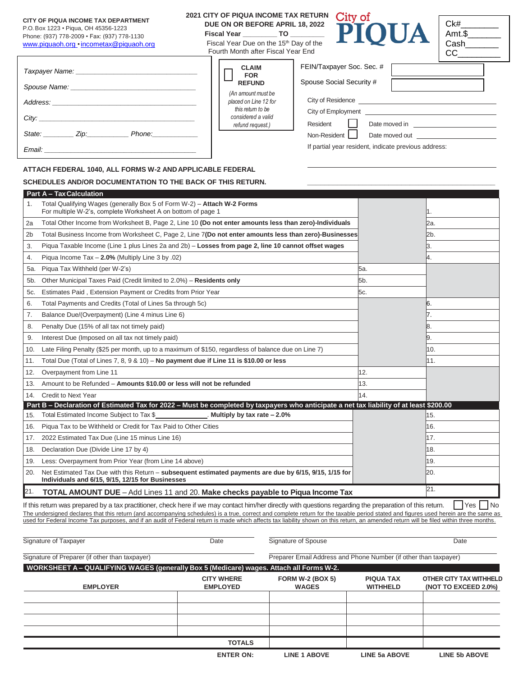#### **CITY OF PIQUA INCOME TAX DEPARTMENT**

## P.O. Box 1223 • Piqua, OH 45356-1223 Phone: (937) 778-2009 • Fax: (937) 778-1130

[www.piquaoh.org •](http://www.piquaoh.org/) [incometax@piquaoh.org](mailto:incometax@piquaoh.org)

*Spouse Name: \_\_\_\_\_\_\_\_\_\_\_\_\_\_\_\_\_\_\_\_\_\_\_\_\_\_\_\_\_\_\_\_\_ Address: \_\_\_\_\_\_\_\_\_\_\_\_\_\_\_\_\_\_\_\_\_\_\_\_\_\_\_\_\_\_\_\_\_\_\_\_\_\_*

*State: \_\_\_\_\_\_\_\_ Zip:\_\_\_\_\_\_\_\_\_\_\_ Phone:\_\_\_\_\_\_\_\_\_\_\_\_*

*Taxpayer Name: \_\_\_\_\_\_\_\_\_\_\_\_\_\_\_\_\_\_\_\_\_\_\_\_\_\_\_\_\_\_\_\_*

*Email: \_\_\_\_\_\_\_\_\_\_\_\_\_\_\_\_\_\_\_\_\_\_\_\_\_\_\_\_\_\_\_\_\_\_\_\_\_\_\_\_*

Taxpayer Social Security # *City: \_\_\_\_\_\_\_\_\_\_\_\_\_\_\_\_\_\_\_\_\_\_\_\_\_\_\_\_\_\_\_\_\_\_\_\_\_\_\_\_\_*

# **2021 CITY OF PIQUA INCOME TAX RETURN DUE ON OR BEFORE APRIL 18, 2022**

Fiscal Year \_\_\_\_\_\_\_\_\_\_ TO

**CLAIM FOR REFUND** *(An amount must be placed on Line 12 for this return to be considered a valid refund request.)*

Fiscal Year Due on the 15<sup>th</sup> Day of the Fourth Month after Fiscal Year End



| Ck#    |  |
|--------|--|
| Amt.\$ |  |
| Cash   |  |
|        |  |

| FEIN/Taxpayer Soc. Sec. # |
|---------------------------|
| Spouse Social Security #  |
| City of Residence         |
|                           |

City of Employment

Resident Date moved in

Non-Resident Date moved out

. If partial year resident, indicate previous address:

### **ATTACH FEDERAL 1040, ALL FORMS W-2 ANDAPPLICABLE FEDERAL**

### SCHEDULES AND/OR DOCUMENTATION TO THE BACK OF THIS RETURN.

|                | <b>Part A - Tax Calculation</b>                                                                                                                            |     |      |
|----------------|------------------------------------------------------------------------------------------------------------------------------------------------------------|-----|------|
| 1.             | Total Qualifying Wages (generally Box 5 of Form W-2) - Attach W-2 Forms<br>For multiple W-2's, complete Worksheet A on bottom of page 1                    |     |      |
| 2a             | Total Other Income from Worksheet B, Page 2, Line 10 (Do not enter amounts less than zero)-Individuals                                                     |     | 2a.  |
| 2 <sub>b</sub> | Total Business Income from Worksheet C, Page 2, Line 7(Do not enter amounts less than zero)-Businesses                                                     |     | l2b. |
| 3.             | Piqua Taxable Income (Line 1 plus Lines 2a and 2b) - Losses from page 2, line 10 cannot offset wages                                                       |     | З.   |
| 4.             | Piqua Income Tax - 2.0% (Multiply Line 3 by .02)                                                                                                           |     | 4.   |
| 5a.            | Piqua Tax Withheld (per W-2's)                                                                                                                             | 5а. |      |
| 5b.            | Other Municipal Taxes Paid (Credit limited to 2.0%) - Residents only                                                                                       | 5b. |      |
| 5c.            | Estimates Paid, Extension Payment or Credits from Prior Year                                                                                               | 5с. |      |
| 6.             | Total Payments and Credits (Total of Lines 5a through 5c)                                                                                                  |     | 16.  |
| 7.             | Balance Due/(Overpayment) (Line 4 minus Line 6)                                                                                                            |     |      |
| 8.             | Penalty Due (15% of all tax not timely paid)                                                                                                               |     | 8.   |
| 9.             | Interest Due (Imposed on all tax not timely paid)                                                                                                          |     | 9.   |
| 10.            | Late Filing Penalty (\$25 per month, up to a maximum of \$150, regardless of balance due on Line 7)                                                        |     | 10.  |
| 11.            | Total Due (Total of Lines 7, 8, 9 & 10) - No payment due if Line 11 is \$10.00 or less                                                                     |     | 11.  |
| 12.            | Overpayment from Line 11                                                                                                                                   | 12. |      |
| 13.            | Amount to be Refunded - Amounts \$10.00 or less will not be refunded                                                                                       | 13. |      |
| 14.            | <b>Credit to Next Year</b>                                                                                                                                 | 14. |      |
|                | Part B - Declaration of Estimated Tax for 2022 - Must be completed by taxpayers who anticipate a net tax liability of at least \$200.00                    |     |      |
|                | 15. Total Estimated Income Subject to Tax \$<br>Multiply by tax rate $-2.0\%$                                                                              |     | 15.  |
| 16.            | Piqua Tax to be Withheld or Credit for Tax Paid to Other Cities                                                                                            |     | 16.  |
| 17.            | 2022 Estimated Tax Due (Line 15 minus Line 16)                                                                                                             |     | 17.  |
| 18.            | Declaration Due (Divide Line 17 by 4)                                                                                                                      |     | 18.  |
| 19.            | Less: Overpayment from Prior Year (from Line 14 above)                                                                                                     |     | 19.  |
| 20.            | Net Estimated Tax Due with this Return - subsequent estimated payments are due by 6/15, 9/15, 1/15 for<br>Individuals and 6/15, 9/15, 12/15 for Businesses |     | 20.  |
| 21.            | <b>TOTAL AMOUNT DUE</b> – Add Lines 11 and 20. Make checks payable to Piqua Income Tax                                                                     |     | 21.  |

If this return was prepared by a tax practitioner, check here if we may contact him/her directly with questions regarding the preparation of this return.  $\Box$  Yes  $\Box$  No The undersigned declares that this return (and accompanying schedules) is a true, correct and complete return for the taxable period stated and figures used herein are the same as used for Federal Income Tax purposes, and if an audit of Federal return is made which affects tax liability shown on this return, an amended return will be filed within three months.

| Date                                           | Signature of Spouse                     |                                                                                         | Date                                                             |  |  |  |  |
|------------------------------------------------|-----------------------------------------|-----------------------------------------------------------------------------------------|------------------------------------------------------------------|--|--|--|--|
| Signature of Preparer (if other than taxpayer) |                                         |                                                                                         | Preparer Email Address and Phone Number (if other than taxpayer) |  |  |  |  |
|                                                |                                         |                                                                                         |                                                                  |  |  |  |  |
| <b>CITY WHERE</b><br><b>EMPLOYED</b>           | <b>FORM W-2 (BOX 5)</b><br><b>WAGES</b> | <b>PIQUA TAX</b><br><b>WITHHELD</b>                                                     | OTHER CITY TAX WITHHELD<br>(NOT TO EXCEED 2.0%)                  |  |  |  |  |
|                                                |                                         |                                                                                         |                                                                  |  |  |  |  |
|                                                |                                         |                                                                                         |                                                                  |  |  |  |  |
|                                                |                                         |                                                                                         |                                                                  |  |  |  |  |
|                                                | <b>TOTALS</b>                           | WORKSHEET A - QUALIFYING WAGES (generally Box 5 (Medicare) wages. Attach all Forms W-2. |                                                                  |  |  |  |  |

 **ENTER ON: LINE 1 ABOVE LINE 5a ABOVE LINE 5b ABOVE**